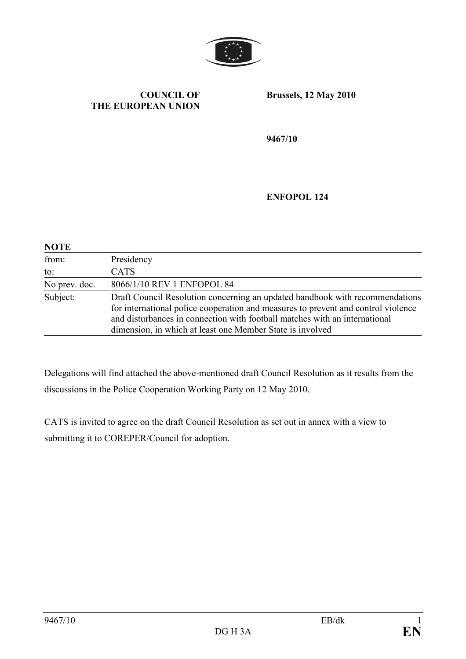

#### COUNCIL OF THE EUROPEAN UNION

Brussels, 12 May 2010

9467/10

ENFOPOL 124

| <b>NOTE</b>   |                                                                                                                                                                                                                                                                                                              |
|---------------|--------------------------------------------------------------------------------------------------------------------------------------------------------------------------------------------------------------------------------------------------------------------------------------------------------------|
| from:         | Presidency                                                                                                                                                                                                                                                                                                   |
| to:           | <b>CATS</b>                                                                                                                                                                                                                                                                                                  |
| No prev. doc. | 8066/1/10 REV 1 ENFOPOL 84                                                                                                                                                                                                                                                                                   |
| Subject:      | Draft Council Resolution concerning an updated handbook with recommendations<br>for international police cooperation and measures to prevent and control violence<br>and disturbances in connection with football matches with an international<br>dimension, in which at least one Member State is involved |

Delegations will find attached the above-mentioned draft Council Resolution as it results from the discussions in the Police Cooperation Working Party on 12 May 2010.

CATS is invited to agree on the draft Council Resolution as set out in annex with a view to submitting it to COREPER/Council for adoption.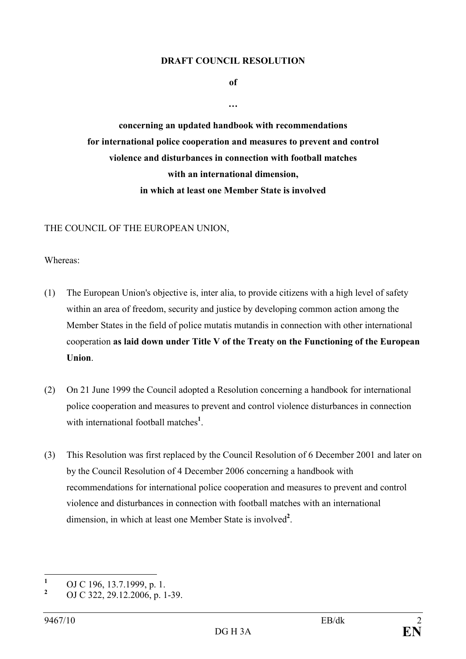#### DRAFT COUNCIL RESOLUTION

of

…

concerning an updated handbook with recommendations for international police cooperation and measures to prevent and control violence and disturbances in connection with football matches with an international dimension, in which at least one Member State is involved

#### THE COUNCIL OF THE EUROPEAN UNION,

Whereas:

- (1) The European Union's objective is, inter alia, to provide citizens with a high level of safety within an area of freedom, security and justice by developing common action among the Member States in the field of police mutatis mutandis in connection with other international cooperation as laid down under Title V of the Treaty on the Functioning of the European Union.
- (2) On 21 June 1999 the Council adopted a Resolution concerning a handbook for international police cooperation and measures to prevent and control violence disturbances in connection with international football matches<sup>1</sup>.
- (3) This Resolution was first replaced by the Council Resolution of 6 December 2001 and later on by the Council Resolution of 4 December 2006 concerning a handbook with recommendations for international police cooperation and measures to prevent and control violence and disturbances in connection with football matches with an international dimension, in which at least one Member State is involved<sup>2</sup>.

 $\frac{1}{1}$ OJ C 196, 13.7.1999, p. 1.

<sup>2</sup> OJ C 322, 29.12.2006, p. 1-39.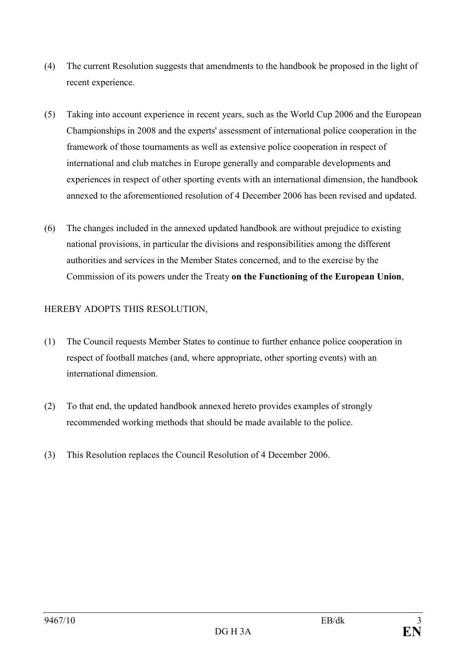- (4) The current Resolution suggests that amendments to the handbook be proposed in the light of recent experience.
- (5) Taking into account experience in recent years, such as the World Cup 2006 and the European Championships in 2008 and the experts' assessment of international police cooperation in the framework of those tournaments as well as extensive police cooperation in respect of international and club matches in Europe generally and comparable developments and experiences in respect of other sporting events with an international dimension, the handbook annexed to the aforementioned resolution of 4 December 2006 has been revised and updated.
- (6) The changes included in the annexed updated handbook are without prejudice to existing national provisions, in particular the divisions and responsibilities among the different authorities and services in the Member States concerned, and to the exercise by the Commission of its powers under the Treaty on the Functioning of the European Union,

# HEREBY ADOPTS THIS RESOLUTION,

- (1) The Council requests Member States to continue to further enhance police cooperation in respect of football matches (and, where appropriate, other sporting events) with an international dimension.
- (2) To that end, the updated handbook annexed hereto provides examples of strongly recommended working methods that should be made available to the police.
- (3) This Resolution replaces the Council Resolution of 4 December 2006.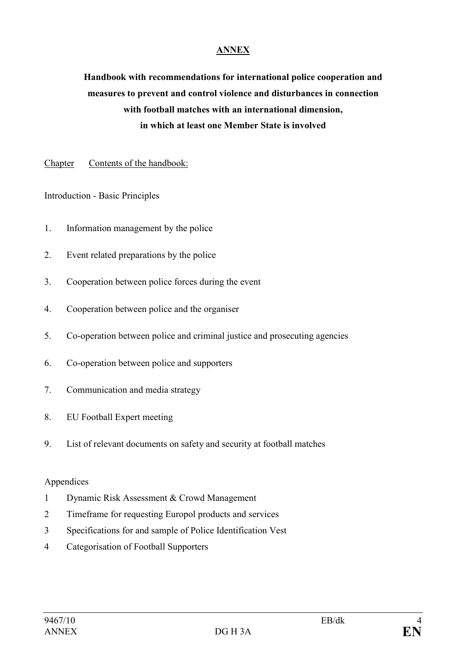### ANNEX

Handbook with recommendations for international police cooperation and measures to prevent and control violence and disturbances in connection with football matches with an international dimension, in which at least one Member State is involved

Chapter Contents of the handbook:

Introduction - Basic Principles

- 1. Information management by the police
- 2. Event related preparations by the police
- 3. Cooperation between police forces during the event
- 4. Cooperation between police and the organiser
- 5. Co-operation between police and criminal justice and prosecuting agencies
- 6. Co-operation between police and supporters
- 7. Communication and media strategy
- 8. EU Football Expert meeting
- 9. List of relevant documents on safety and security at football matches

#### Appendices

- 1 Dynamic Risk Assessment & Crowd Management
- 2 Timeframe for requesting Europol products and services
- 3 Specifications for and sample of Police Identification Vest
- 4 Categorisation of Football Supporters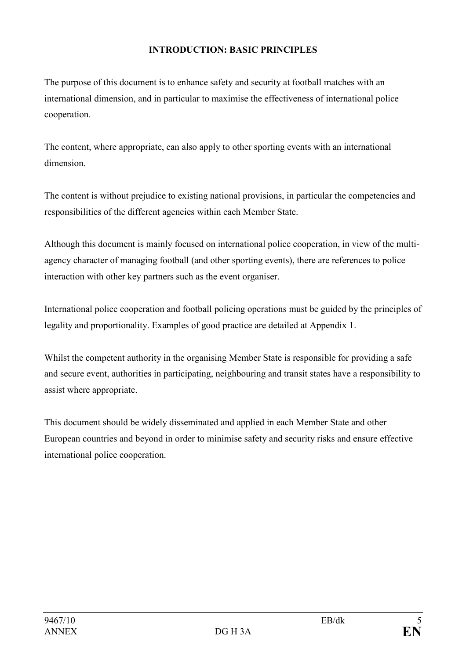## INTRODUCTION: BASIC PRINCIPLES

The purpose of this document is to enhance safety and security at football matches with an international dimension, and in particular to maximise the effectiveness of international police cooperation.

The content, where appropriate, can also apply to other sporting events with an international dimension.

The content is without prejudice to existing national provisions, in particular the competencies and responsibilities of the different agencies within each Member State.

Although this document is mainly focused on international police cooperation, in view of the multiagency character of managing football (and other sporting events), there are references to police interaction with other key partners such as the event organiser.

International police cooperation and football policing operations must be guided by the principles of legality and proportionality. Examples of good practice are detailed at Appendix 1.

Whilst the competent authority in the organising Member State is responsible for providing a safe and secure event, authorities in participating, neighbouring and transit states have a responsibility to assist where appropriate.

This document should be widely disseminated and applied in each Member State and other European countries and beyond in order to minimise safety and security risks and ensure effective international police cooperation.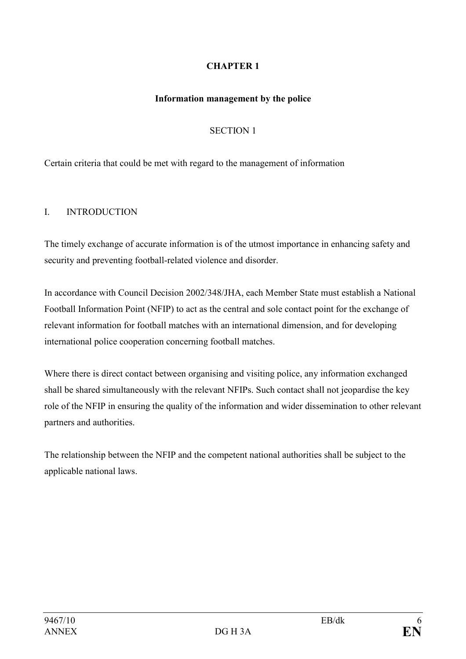# CHAPTER 1

#### Information management by the police

### SECTION 1

Certain criteria that could be met with regard to the management of information

#### I. INTRODUCTION

The timely exchange of accurate information is of the utmost importance in enhancing safety and security and preventing football-related violence and disorder.

In accordance with Council Decision 2002/348/JHA, each Member State must establish a National Football Information Point (NFIP) to act as the central and sole contact point for the exchange of relevant information for football matches with an international dimension, and for developing international police cooperation concerning football matches.

Where there is direct contact between organising and visiting police, any information exchanged shall be shared simultaneously with the relevant NFIPs. Such contact shall not jeopardise the key role of the NFIP in ensuring the quality of the information and wider dissemination to other relevant partners and authorities.

The relationship between the NFIP and the competent national authorities shall be subject to the applicable national laws.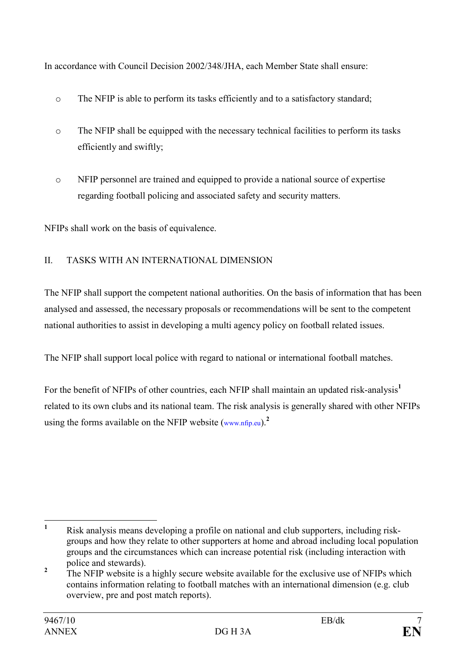In accordance with Council Decision 2002/348/JHA, each Member State shall ensure:

- o The NFIP is able to perform its tasks efficiently and to a satisfactory standard;
- o The NFIP shall be equipped with the necessary technical facilities to perform its tasks efficiently and swiftly;
- o NFIP personnel are trained and equipped to provide a national source of expertise regarding football policing and associated safety and security matters.

NFIPs shall work on the basis of equivalence.

# II. TASKS WITH AN INTERNATIONAL DIMENSION

The NFIP shall support the competent national authorities. On the basis of information that has been analysed and assessed, the necessary proposals or recommendations will be sent to the competent national authorities to assist in developing a multi agency policy on football related issues.

The NFIP shall support local police with regard to national or international football matches.

For the benefit of NFIPs of other countries, each NFIP shall maintain an updated risk-analysis<sup>1</sup> related to its own clubs and its national team. The risk analysis is generally shared with other NFIPs using the forms available on the NFIP website  $(www.nfp.eu)^2$ .

 $\frac{1}{1}$  Risk analysis means developing a profile on national and club supporters, including riskgroups and how they relate to other supporters at home and abroad including local population groups and the circumstances which can increase potential risk (including interaction with police and stewards).

<sup>2</sup> The NFIP website is a highly secure website available for the exclusive use of NFIPs which contains information relating to football matches with an international dimension (e.g. club overview, pre and post match reports).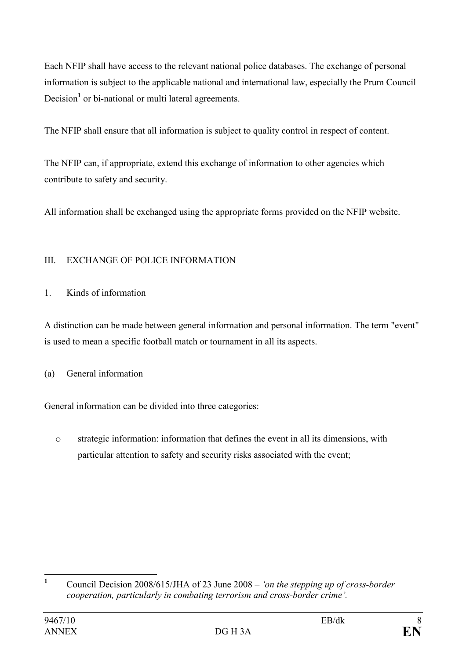Each NFIP shall have access to the relevant national police databases. The exchange of personal information is subject to the applicable national and international law, especially the Prum Council Decision<sup>1</sup> or bi-national or multi lateral agreements.

The NFIP shall ensure that all information is subject to quality control in respect of content.

The NFIP can, if appropriate, extend this exchange of information to other agencies which contribute to safety and security.

All information shall be exchanged using the appropriate forms provided on the NFIP website.

# III. EXCHANGE OF POLICE INFORMATION

# 1. Kinds of information

A distinction can be made between general information and personal information. The term "event" is used to mean a specific football match or tournament in all its aspects.

(a) General information

General information can be divided into three categories:

o strategic information: information that defines the event in all its dimensions, with particular attention to safety and security risks associated with the event;

 $\frac{1}{1}$  Council Decision 2008/615/JHA of 23 June 2008 – 'on the stepping up of cross-border cooperation, particularly in combating terrorism and cross-border crime'.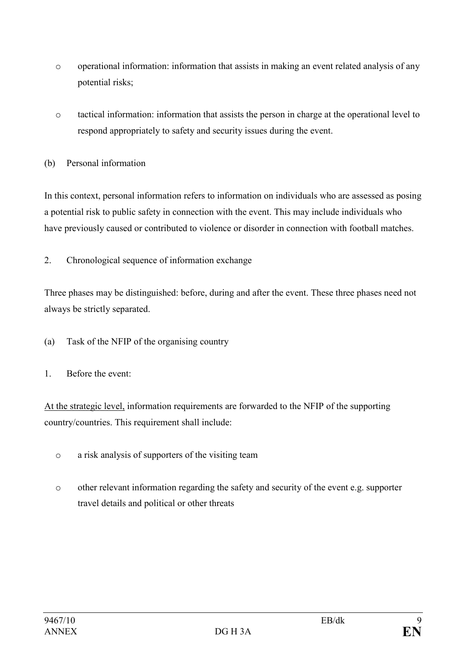- o operational information: information that assists in making an event related analysis of any potential risks;
- o tactical information: information that assists the person in charge at the operational level to respond appropriately to safety and security issues during the event.
- (b) Personal information

In this context, personal information refers to information on individuals who are assessed as posing a potential risk to public safety in connection with the event. This may include individuals who have previously caused or contributed to violence or disorder in connection with football matches.

2. Chronological sequence of information exchange

Three phases may be distinguished: before, during and after the event. These three phases need not always be strictly separated.

- (a) Task of the NFIP of the organising country
- 1. Before the event:

At the strategic level, information requirements are forwarded to the NFIP of the supporting country/countries. This requirement shall include:

- o a risk analysis of supporters of the visiting team
- o other relevant information regarding the safety and security of the event e.g. supporter travel details and political or other threats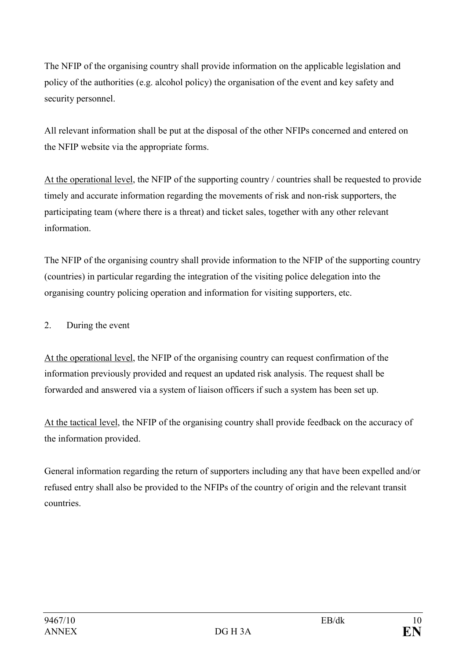The NFIP of the organising country shall provide information on the applicable legislation and policy of the authorities (e.g. alcohol policy) the organisation of the event and key safety and security personnel.

All relevant information shall be put at the disposal of the other NFIPs concerned and entered on the NFIP website via the appropriate forms.

At the operational level, the NFIP of the supporting country / countries shall be requested to provide timely and accurate information regarding the movements of risk and non-risk supporters, the participating team (where there is a threat) and ticket sales, together with any other relevant information.

The NFIP of the organising country shall provide information to the NFIP of the supporting country (countries) in particular regarding the integration of the visiting police delegation into the organising country policing operation and information for visiting supporters, etc.

2. During the event

At the operational level, the NFIP of the organising country can request confirmation of the information previously provided and request an updated risk analysis. The request shall be forwarded and answered via a system of liaison officers if such a system has been set up.

At the tactical level, the NFIP of the organising country shall provide feedback on the accuracy of the information provided.

General information regarding the return of supporters including any that have been expelled and/or refused entry shall also be provided to the NFIPs of the country of origin and the relevant transit countries.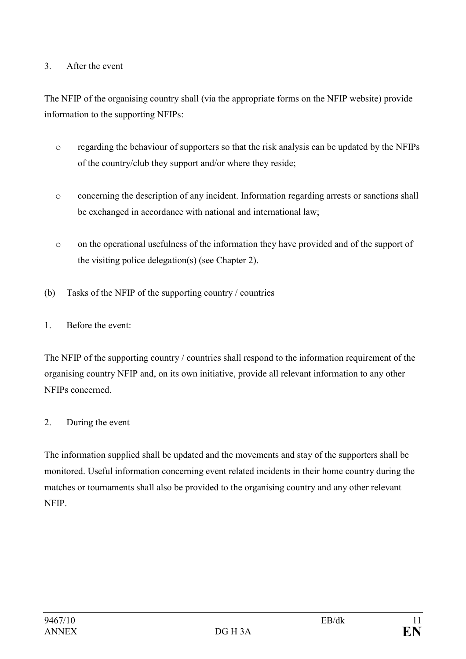### 3. After the event

The NFIP of the organising country shall (via the appropriate forms on the NFIP website) provide information to the supporting NFIPs:

- o regarding the behaviour of supporters so that the risk analysis can be updated by the NFIPs of the country/club they support and/or where they reside;
- o concerning the description of any incident. Information regarding arrests or sanctions shall be exchanged in accordance with national and international law;
- o on the operational usefulness of the information they have provided and of the support of the visiting police delegation(s) (see Chapter 2).
- (b) Tasks of the NFIP of the supporting country / countries
- 1. Before the event:

The NFIP of the supporting country / countries shall respond to the information requirement of the organising country NFIP and, on its own initiative, provide all relevant information to any other NFIPs concerned.

#### 2. During the event

The information supplied shall be updated and the movements and stay of the supporters shall be monitored. Useful information concerning event related incidents in their home country during the matches or tournaments shall also be provided to the organising country and any other relevant NFIP.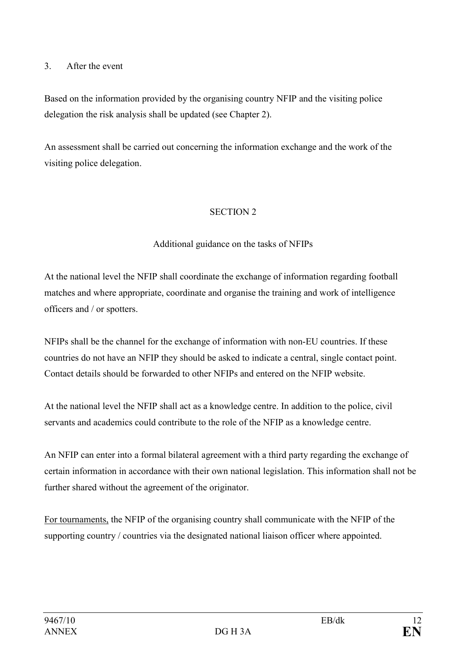#### 3. After the event

Based on the information provided by the organising country NFIP and the visiting police delegation the risk analysis shall be updated (see Chapter 2).

An assessment shall be carried out concerning the information exchange and the work of the visiting police delegation.

#### SECTION 2

## Additional guidance on the tasks of NFIPs

At the national level the NFIP shall coordinate the exchange of information regarding football matches and where appropriate, coordinate and organise the training and work of intelligence officers and / or spotters.

NFIPs shall be the channel for the exchange of information with non-EU countries. If these countries do not have an NFIP they should be asked to indicate a central, single contact point. Contact details should be forwarded to other NFIPs and entered on the NFIP website.

At the national level the NFIP shall act as a knowledge centre. In addition to the police, civil servants and academics could contribute to the role of the NFIP as a knowledge centre.

An NFIP can enter into a formal bilateral agreement with a third party regarding the exchange of certain information in accordance with their own national legislation. This information shall not be further shared without the agreement of the originator.

For tournaments, the NFIP of the organising country shall communicate with the NFIP of the supporting country / countries via the designated national liaison officer where appointed.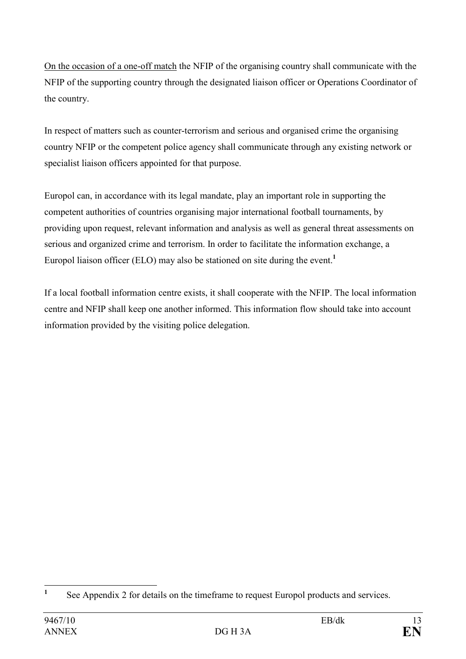On the occasion of a one-off match the NFIP of the organising country shall communicate with the NFIP of the supporting country through the designated liaison officer or Operations Coordinator of the country.

In respect of matters such as counter-terrorism and serious and organised crime the organising country NFIP or the competent police agency shall communicate through any existing network or specialist liaison officers appointed for that purpose.

Europol can, in accordance with its legal mandate, play an important role in supporting the competent authorities of countries organising major international football tournaments, by providing upon request, relevant information and analysis as well as general threat assessments on serious and organized crime and terrorism. In order to facilitate the information exchange, a Europol liaison officer (ELO) may also be stationed on site during the event.<sup>1</sup>

If a local football information centre exists, it shall cooperate with the NFIP. The local information centre and NFIP shall keep one another informed. This information flow should take into account information provided by the visiting police delegation.

 $\frac{1}{1}$ See Appendix 2 for details on the timeframe to request Europol products and services.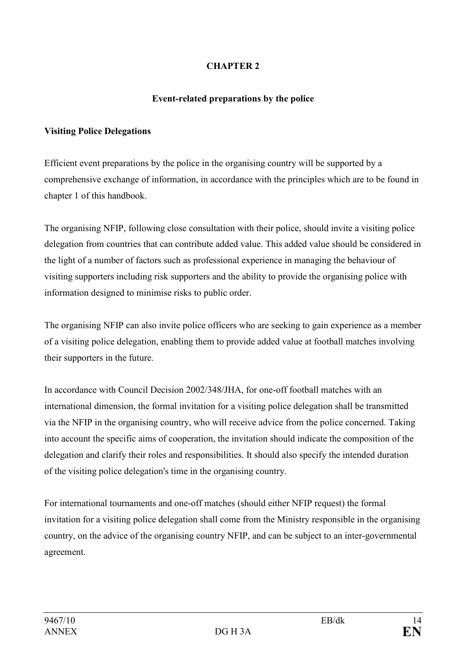# CHAPTER 2

#### Event-related preparations by the police

#### Visiting Police Delegations

Efficient event preparations by the police in the organising country will be supported by a comprehensive exchange of information, in accordance with the principles which are to be found in chapter 1 of this handbook.

The organising NFIP, following close consultation with their police, should invite a visiting police delegation from countries that can contribute added value. This added value should be considered in the light of a number of factors such as professional experience in managing the behaviour of visiting supporters including risk supporters and the ability to provide the organising police with information designed to minimise risks to public order.

The organising NFIP can also invite police officers who are seeking to gain experience as a member of a visiting police delegation, enabling them to provide added value at football matches involving their supporters in the future.

In accordance with Council Decision 2002/348/JHA, for one-off football matches with an international dimension, the formal invitation for a visiting police delegation shall be transmitted via the NFIP in the organising country, who will receive advice from the police concerned. Taking into account the specific aims of cooperation, the invitation should indicate the composition of the delegation and clarify their roles and responsibilities. It should also specify the intended duration of the visiting police delegation's time in the organising country.

For international tournaments and one-off matches (should either NFIP request) the formal invitation for a visiting police delegation shall come from the Ministry responsible in the organising country, on the advice of the organising country NFIP, and can be subject to an inter-governmental agreement.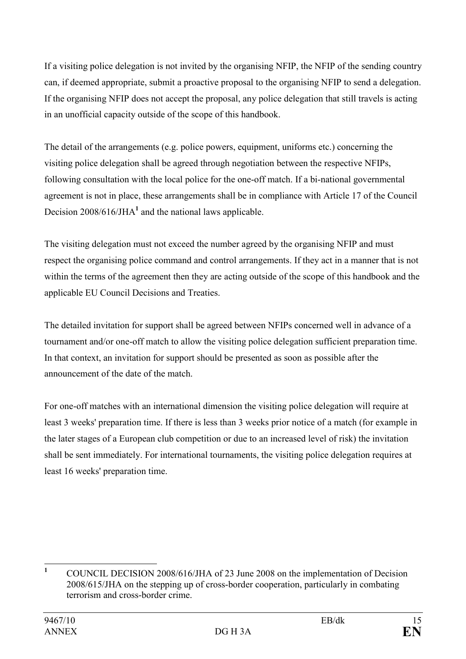If a visiting police delegation is not invited by the organising NFIP, the NFIP of the sending country can, if deemed appropriate, submit a proactive proposal to the organising NFIP to send a delegation. If the organising NFIP does not accept the proposal, any police delegation that still travels is acting in an unofficial capacity outside of the scope of this handbook.

The detail of the arrangements (e.g. police powers, equipment, uniforms etc.) concerning the visiting police delegation shall be agreed through negotiation between the respective NFIPs, following consultation with the local police for the one-off match. If a bi-national governmental agreement is not in place, these arrangements shall be in compliance with Article 17 of the Council Decision  $2008/616$ /JHA<sup>1</sup> and the national laws applicable.

The visiting delegation must not exceed the number agreed by the organising NFIP and must respect the organising police command and control arrangements. If they act in a manner that is not within the terms of the agreement then they are acting outside of the scope of this handbook and the applicable EU Council Decisions and Treaties.

The detailed invitation for support shall be agreed between NFIPs concerned well in advance of a tournament and/or one-off match to allow the visiting police delegation sufficient preparation time. In that context, an invitation for support should be presented as soon as possible after the announcement of the date of the match.

For one-off matches with an international dimension the visiting police delegation will require at least 3 weeks' preparation time. If there is less than 3 weeks prior notice of a match (for example in the later stages of a European club competition or due to an increased level of risk) the invitation shall be sent immediately. For international tournaments, the visiting police delegation requires at least 16 weeks' preparation time.

 $\frac{1}{1}$  COUNCIL DECISION 2008/616/JHA of 23 June 2008 on the implementation of Decision 2008/615/JHA on the stepping up of cross-border cooperation, particularly in combating terrorism and cross-border crime.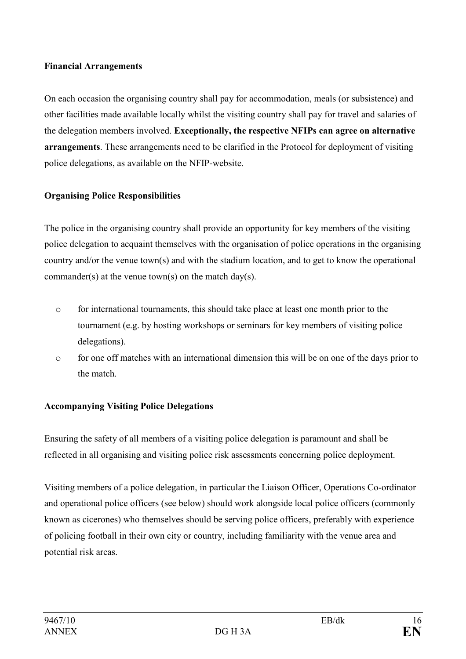#### Financial Arrangements

On each occasion the organising country shall pay for accommodation, meals (or subsistence) and other facilities made available locally whilst the visiting country shall pay for travel and salaries of the delegation members involved. Exceptionally, the respective NFIPs can agree on alternative arrangements. These arrangements need to be clarified in the Protocol for deployment of visiting police delegations, as available on the NFIP-website.

## Organising Police Responsibilities

The police in the organising country shall provide an opportunity for key members of the visiting police delegation to acquaint themselves with the organisation of police operations in the organising country and/or the venue town(s) and with the stadium location, and to get to know the operational commander(s) at the venue town(s) on the match day(s).

- o for international tournaments, this should take place at least one month prior to the tournament (e.g. by hosting workshops or seminars for key members of visiting police delegations).
- o for one off matches with an international dimension this will be on one of the days prior to the match.

#### Accompanying Visiting Police Delegations

Ensuring the safety of all members of a visiting police delegation is paramount and shall be reflected in all organising and visiting police risk assessments concerning police deployment.

Visiting members of a police delegation, in particular the Liaison Officer, Operations Co-ordinator and operational police officers (see below) should work alongside local police officers (commonly known as cicerones) who themselves should be serving police officers, preferably with experience of policing football in their own city or country, including familiarity with the venue area and potential risk areas.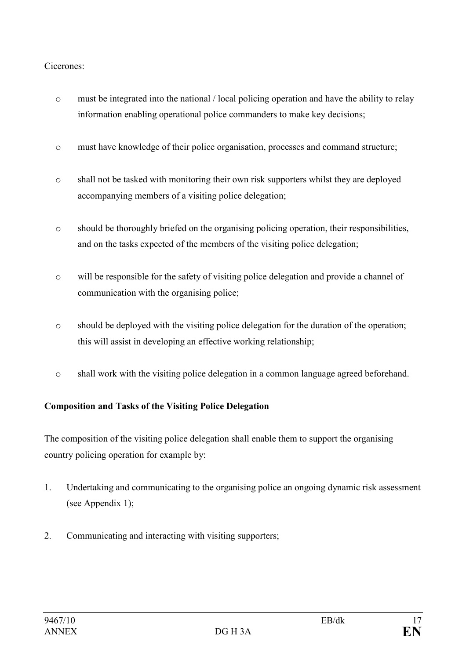# Cicerones:

- o must be integrated into the national / local policing operation and have the ability to relay information enabling operational police commanders to make key decisions;
- o must have knowledge of their police organisation, processes and command structure;
- o shall not be tasked with monitoring their own risk supporters whilst they are deployed accompanying members of a visiting police delegation;
- o should be thoroughly briefed on the organising policing operation, their responsibilities, and on the tasks expected of the members of the visiting police delegation;
- o will be responsible for the safety of visiting police delegation and provide a channel of communication with the organising police;
- o should be deployed with the visiting police delegation for the duration of the operation; this will assist in developing an effective working relationship;
- o shall work with the visiting police delegation in a common language agreed beforehand.

# Composition and Tasks of the Visiting Police Delegation

The composition of the visiting police delegation shall enable them to support the organising country policing operation for example by:

- 1. Undertaking and communicating to the organising police an ongoing dynamic risk assessment (see Appendix 1);
- 2. Communicating and interacting with visiting supporters;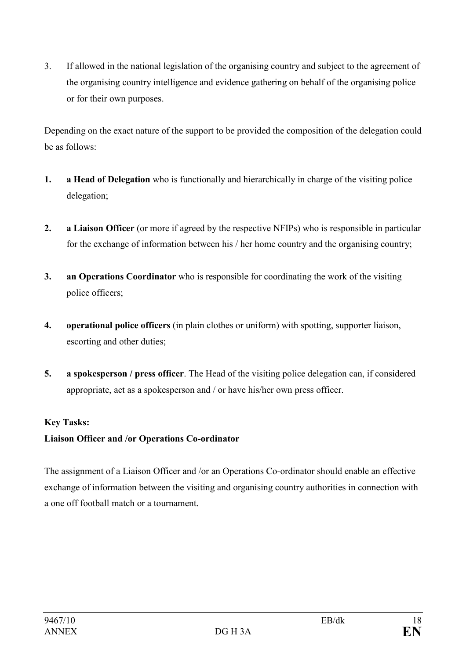3. If allowed in the national legislation of the organising country and subject to the agreement of the organising country intelligence and evidence gathering on behalf of the organising police or for their own purposes.

Depending on the exact nature of the support to be provided the composition of the delegation could be as follows:

- 1. a Head of Delegation who is functionally and hierarchically in charge of the visiting police delegation;
- 2. a Liaison Officer (or more if agreed by the respective NFIPs) who is responsible in particular for the exchange of information between his / her home country and the organising country;
- 3. an Operations Coordinator who is responsible for coordinating the work of the visiting police officers;
- 4. operational police officers (in plain clothes or uniform) with spotting, supporter liaison, escorting and other duties;
- 5. a spokesperson / press officer. The Head of the visiting police delegation can, if considered appropriate, act as a spokesperson and / or have his/her own press officer.

# Key Tasks:

# Liaison Officer and /or Operations Co-ordinator

The assignment of a Liaison Officer and /or an Operations Co-ordinator should enable an effective exchange of information between the visiting and organising country authorities in connection with a one off football match or a tournament.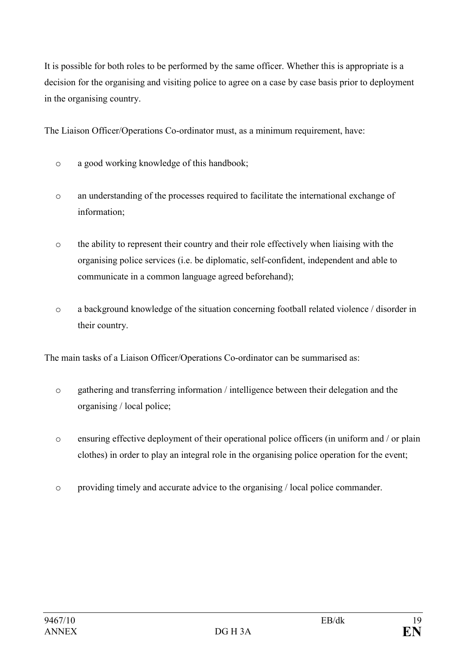It is possible for both roles to be performed by the same officer. Whether this is appropriate is a decision for the organising and visiting police to agree on a case by case basis prior to deployment in the organising country.

The Liaison Officer/Operations Co-ordinator must, as a minimum requirement, have:

- o a good working knowledge of this handbook;
- o an understanding of the processes required to facilitate the international exchange of information;
- o the ability to represent their country and their role effectively when liaising with the organising police services (i.e. be diplomatic, self-confident, independent and able to communicate in a common language agreed beforehand);
- o a background knowledge of the situation concerning football related violence / disorder in their country.

The main tasks of a Liaison Officer/Operations Co-ordinator can be summarised as:

- o gathering and transferring information / intelligence between their delegation and the organising / local police;
- o ensuring effective deployment of their operational police officers (in uniform and / or plain clothes) in order to play an integral role in the organising police operation for the event;
- o providing timely and accurate advice to the organising / local police commander.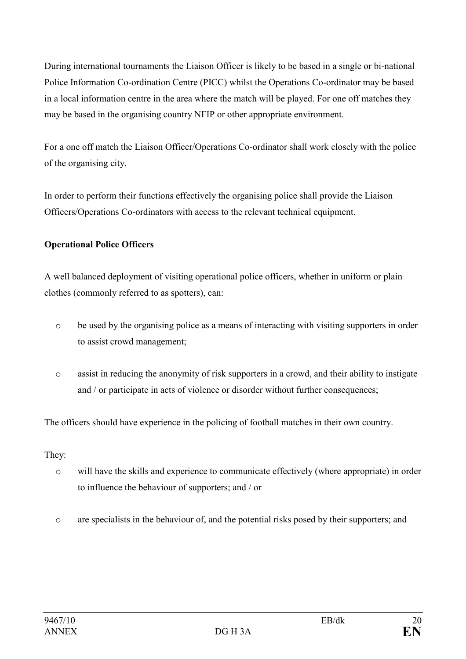During international tournaments the Liaison Officer is likely to be based in a single or bi-national Police Information Co-ordination Centre (PICC) whilst the Operations Co-ordinator may be based in a local information centre in the area where the match will be played. For one off matches they may be based in the organising country NFIP or other appropriate environment.

For a one off match the Liaison Officer/Operations Co-ordinator shall work closely with the police of the organising city.

In order to perform their functions effectively the organising police shall provide the Liaison Officers/Operations Co-ordinators with access to the relevant technical equipment.

# Operational Police Officers

A well balanced deployment of visiting operational police officers, whether in uniform or plain clothes (commonly referred to as spotters), can:

- o be used by the organising police as a means of interacting with visiting supporters in order to assist crowd management;
- o assist in reducing the anonymity of risk supporters in a crowd, and their ability to instigate and / or participate in acts of violence or disorder without further consequences;

The officers should have experience in the policing of football matches in their own country.

They:

- o will have the skills and experience to communicate effectively (where appropriate) in order to influence the behaviour of supporters; and / or
- o are specialists in the behaviour of, and the potential risks posed by their supporters; and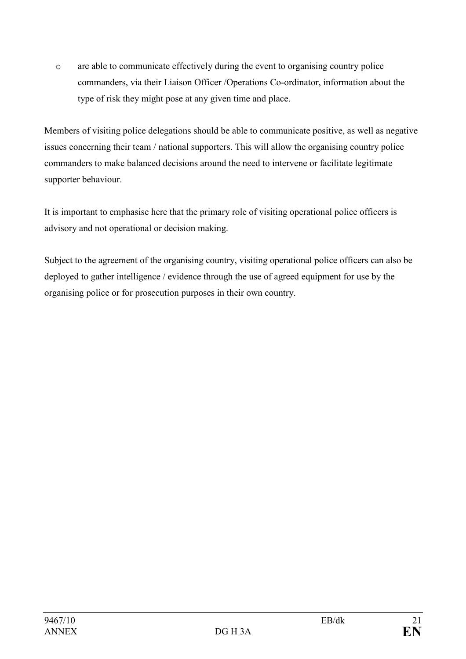o are able to communicate effectively during the event to organising country police commanders, via their Liaison Officer /Operations Co-ordinator, information about the type of risk they might pose at any given time and place.

Members of visiting police delegations should be able to communicate positive, as well as negative issues concerning their team / national supporters. This will allow the organising country police commanders to make balanced decisions around the need to intervene or facilitate legitimate supporter behaviour.

It is important to emphasise here that the primary role of visiting operational police officers is advisory and not operational or decision making.

Subject to the agreement of the organising country, visiting operational police officers can also be deployed to gather intelligence / evidence through the use of agreed equipment for use by the organising police or for prosecution purposes in their own country.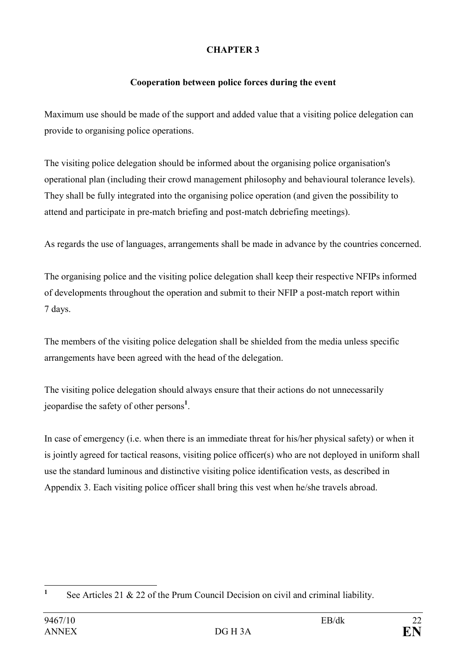# CHAPTER 3

# Cooperation between police forces during the event

Maximum use should be made of the support and added value that a visiting police delegation can provide to organising police operations.

The visiting police delegation should be informed about the organising police organisation's operational plan (including their crowd management philosophy and behavioural tolerance levels). They shall be fully integrated into the organising police operation (and given the possibility to attend and participate in pre-match briefing and post-match debriefing meetings).

As regards the use of languages, arrangements shall be made in advance by the countries concerned.

The organising police and the visiting police delegation shall keep their respective NFIPs informed of developments throughout the operation and submit to their NFIP a post-match report within 7 days.

The members of the visiting police delegation shall be shielded from the media unless specific arrangements have been agreed with the head of the delegation.

The visiting police delegation should always ensure that their actions do not unnecessarily jeopardise the safety of other persons<sup>1</sup>.

In case of emergency (i.e. when there is an immediate threat for his/her physical safety) or when it is jointly agreed for tactical reasons, visiting police officer(s) who are not deployed in uniform shall use the standard luminous and distinctive visiting police identification vests, as described in Appendix 3. Each visiting police officer shall bring this vest when he/she travels abroad.

 $\frac{1}{1}$ See Articles 21 & 22 of the Prum Council Decision on civil and criminal liability.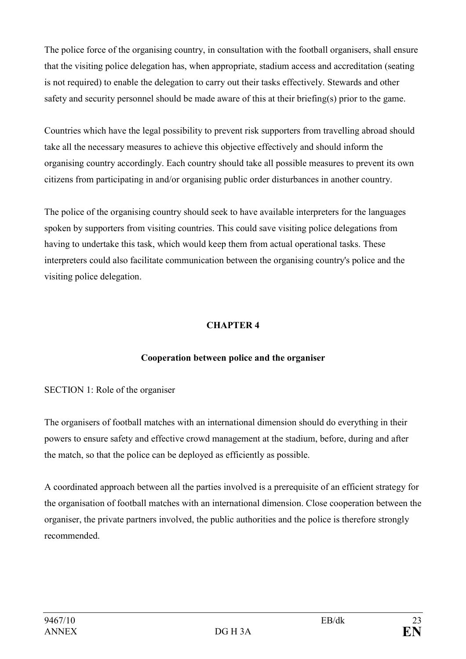The police force of the organising country, in consultation with the football organisers, shall ensure that the visiting police delegation has, when appropriate, stadium access and accreditation (seating is not required) to enable the delegation to carry out their tasks effectively. Stewards and other safety and security personnel should be made aware of this at their briefing(s) prior to the game.

Countries which have the legal possibility to prevent risk supporters from travelling abroad should take all the necessary measures to achieve this objective effectively and should inform the organising country accordingly. Each country should take all possible measures to prevent its own citizens from participating in and/or organising public order disturbances in another country.

The police of the organising country should seek to have available interpreters for the languages spoken by supporters from visiting countries. This could save visiting police delegations from having to undertake this task, which would keep them from actual operational tasks. These interpreters could also facilitate communication between the organising country's police and the visiting police delegation.

# CHAPTER 4

# Cooperation between police and the organiser

#### SECTION 1: Role of the organiser

The organisers of football matches with an international dimension should do everything in their powers to ensure safety and effective crowd management at the stadium, before, during and after the match, so that the police can be deployed as efficiently as possible.

A coordinated approach between all the parties involved is a prerequisite of an efficient strategy for the organisation of football matches with an international dimension. Close cooperation between the organiser, the private partners involved, the public authorities and the police is therefore strongly recommended.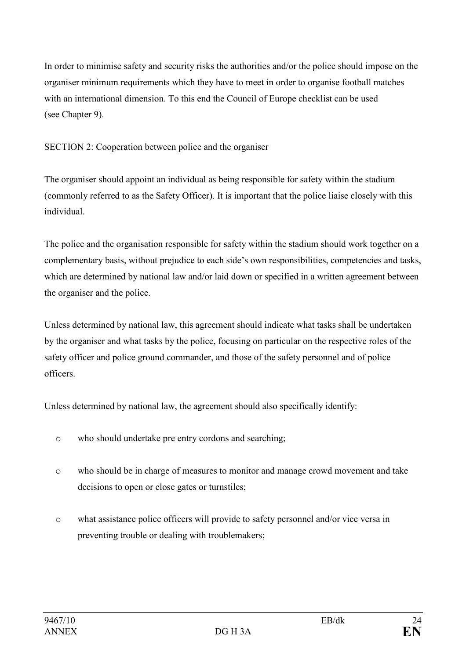In order to minimise safety and security risks the authorities and/or the police should impose on the organiser minimum requirements which they have to meet in order to organise football matches with an international dimension. To this end the Council of Europe checklist can be used (see Chapter 9).

SECTION 2: Cooperation between police and the organiser

The organiser should appoint an individual as being responsible for safety within the stadium (commonly referred to as the Safety Officer). It is important that the police liaise closely with this individual.

The police and the organisation responsible for safety within the stadium should work together on a complementary basis, without prejudice to each side's own responsibilities, competencies and tasks, which are determined by national law and/or laid down or specified in a written agreement between the organiser and the police.

Unless determined by national law, this agreement should indicate what tasks shall be undertaken by the organiser and what tasks by the police, focusing on particular on the respective roles of the safety officer and police ground commander, and those of the safety personnel and of police officers.

Unless determined by national law, the agreement should also specifically identify:

- o who should undertake pre entry cordons and searching;
- o who should be in charge of measures to monitor and manage crowd movement and take decisions to open or close gates or turnstiles;
- o what assistance police officers will provide to safety personnel and/or vice versa in preventing trouble or dealing with troublemakers;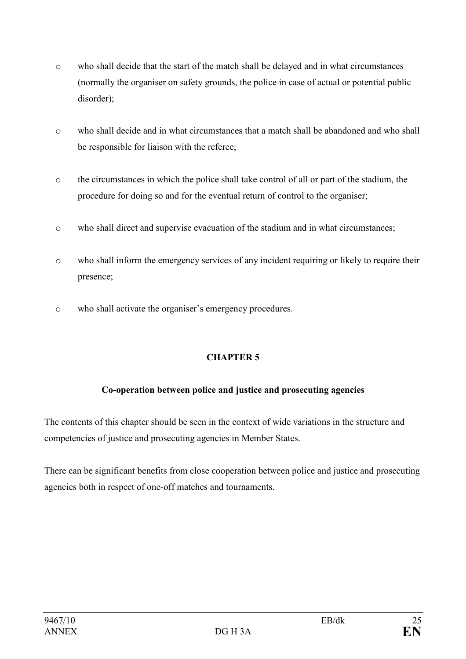- o who shall decide that the start of the match shall be delayed and in what circumstances (normally the organiser on safety grounds, the police in case of actual or potential public disorder);
- o who shall decide and in what circumstances that a match shall be abandoned and who shall be responsible for liaison with the referee;
- o the circumstances in which the police shall take control of all or part of the stadium, the procedure for doing so and for the eventual return of control to the organiser;
- o who shall direct and supervise evacuation of the stadium and in what circumstances;
- o who shall inform the emergency services of any incident requiring or likely to require their presence;
- o who shall activate the organiser's emergency procedures.

# CHAPTER 5

# Co-operation between police and justice and prosecuting agencies

The contents of this chapter should be seen in the context of wide variations in the structure and competencies of justice and prosecuting agencies in Member States.

There can be significant benefits from close cooperation between police and justice and prosecuting agencies both in respect of one-off matches and tournaments.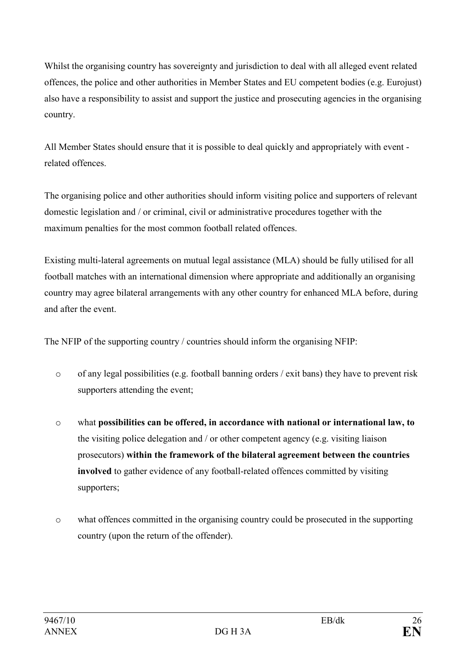Whilst the organising country has sovereignty and jurisdiction to deal with all alleged event related offences, the police and other authorities in Member States and EU competent bodies (e.g. Eurojust) also have a responsibility to assist and support the justice and prosecuting agencies in the organising country.

All Member States should ensure that it is possible to deal quickly and appropriately with event related offences.

The organising police and other authorities should inform visiting police and supporters of relevant domestic legislation and / or criminal, civil or administrative procedures together with the maximum penalties for the most common football related offences.

Existing multi-lateral agreements on mutual legal assistance (MLA) should be fully utilised for all football matches with an international dimension where appropriate and additionally an organising country may agree bilateral arrangements with any other country for enhanced MLA before, during and after the event.

The NFIP of the supporting country / countries should inform the organising NFIP:

- o of any legal possibilities (e.g. football banning orders / exit bans) they have to prevent risk supporters attending the event;
- o what possibilities can be offered, in accordance with national or international law, to the visiting police delegation and / or other competent agency (e.g. visiting liaison prosecutors) within the framework of the bilateral agreement between the countries involved to gather evidence of any football-related offences committed by visiting supporters;
- o what offences committed in the organising country could be prosecuted in the supporting country (upon the return of the offender).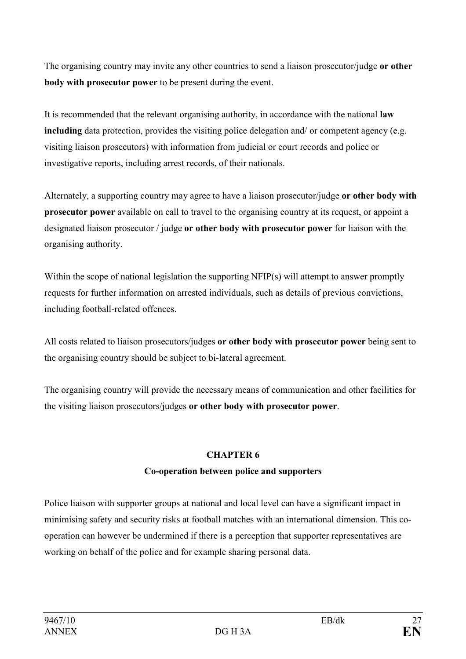The organising country may invite any other countries to send a liaison prosecutor/judge or other body with prosecutor power to be present during the event.

It is recommended that the relevant organising authority, in accordance with the national law including data protection, provides the visiting police delegation and/ or competent agency (e.g. visiting liaison prosecutors) with information from judicial or court records and police or investigative reports, including arrest records, of their nationals.

Alternately, a supporting country may agree to have a liaison prosecutor/judge or other body with prosecutor power available on call to travel to the organising country at its request, or appoint a designated liaison prosecutor / judge or other body with prosecutor power for liaison with the organising authority.

Within the scope of national legislation the supporting NFIP(s) will attempt to answer promptly requests for further information on arrested individuals, such as details of previous convictions, including football-related offences.

All costs related to liaison prosecutors/judges or other body with prosecutor power being sent to the organising country should be subject to bi-lateral agreement.

The organising country will provide the necessary means of communication and other facilities for the visiting liaison prosecutors/judges or other body with prosecutor power.

# CHAPTER 6

# Co-operation between police and supporters

Police liaison with supporter groups at national and local level can have a significant impact in minimising safety and security risks at football matches with an international dimension. This cooperation can however be undermined if there is a perception that supporter representatives are working on behalf of the police and for example sharing personal data.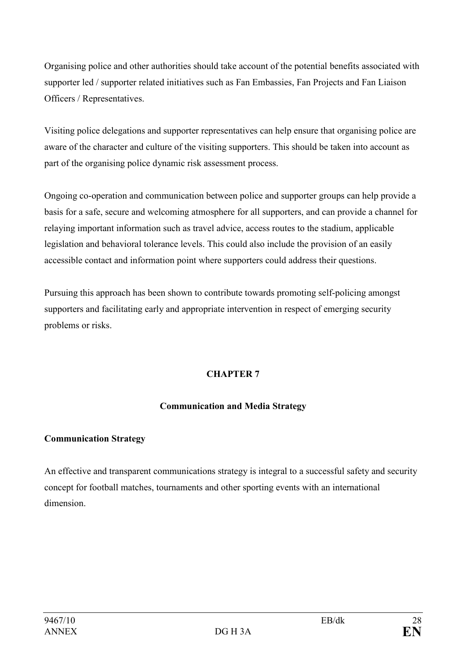Organising police and other authorities should take account of the potential benefits associated with supporter led / supporter related initiatives such as Fan Embassies, Fan Projects and Fan Liaison Officers / Representatives.

Visiting police delegations and supporter representatives can help ensure that organising police are aware of the character and culture of the visiting supporters. This should be taken into account as part of the organising police dynamic risk assessment process.

Ongoing co-operation and communication between police and supporter groups can help provide a basis for a safe, secure and welcoming atmosphere for all supporters, and can provide a channel for relaying important information such as travel advice, access routes to the stadium, applicable legislation and behavioral tolerance levels. This could also include the provision of an easily accessible contact and information point where supporters could address their questions.

Pursuing this approach has been shown to contribute towards promoting self-policing amongst supporters and facilitating early and appropriate intervention in respect of emerging security problems or risks.

# CHAPTER 7

# Communication and Media Strategy

# Communication Strategy

An effective and transparent communications strategy is integral to a successful safety and security concept for football matches, tournaments and other sporting events with an international dimension.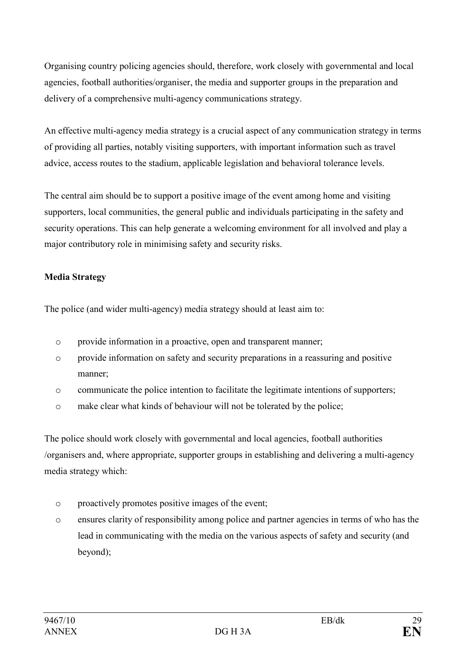Organising country policing agencies should, therefore, work closely with governmental and local agencies, football authorities/organiser, the media and supporter groups in the preparation and delivery of a comprehensive multi-agency communications strategy.

An effective multi-agency media strategy is a crucial aspect of any communication strategy in terms of providing all parties, notably visiting supporters, with important information such as travel advice, access routes to the stadium, applicable legislation and behavioral tolerance levels.

The central aim should be to support a positive image of the event among home and visiting supporters, local communities, the general public and individuals participating in the safety and security operations. This can help generate a welcoming environment for all involved and play a major contributory role in minimising safety and security risks.

## Media Strategy

The police (and wider multi-agency) media strategy should at least aim to:

- o provide information in a proactive, open and transparent manner;
- o provide information on safety and security preparations in a reassuring and positive manner;
- o communicate the police intention to facilitate the legitimate intentions of supporters;
- o make clear what kinds of behaviour will not be tolerated by the police;

The police should work closely with governmental and local agencies, football authorities /organisers and, where appropriate, supporter groups in establishing and delivering a multi-agency media strategy which:

- o proactively promotes positive images of the event;
- o ensures clarity of responsibility among police and partner agencies in terms of who has the lead in communicating with the media on the various aspects of safety and security (and beyond);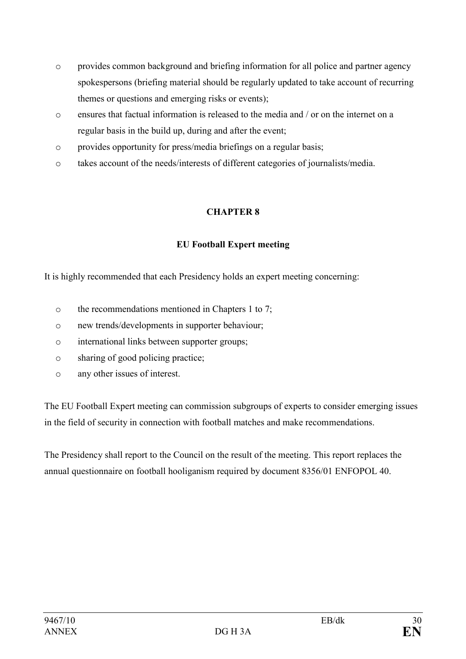- o provides common background and briefing information for all police and partner agency spokespersons (briefing material should be regularly updated to take account of recurring themes or questions and emerging risks or events);
- o ensures that factual information is released to the media and / or on the internet on a regular basis in the build up, during and after the event;
- o provides opportunity for press/media briefings on a regular basis;
- o takes account of the needs/interests of different categories of journalists/media.

## CHAPTER 8

## EU Football Expert meeting

It is highly recommended that each Presidency holds an expert meeting concerning:

- o the recommendations mentioned in Chapters 1 to 7;
- o new trends/developments in supporter behaviour;
- o international links between supporter groups;
- o sharing of good policing practice;
- o any other issues of interest.

The EU Football Expert meeting can commission subgroups of experts to consider emerging issues in the field of security in connection with football matches and make recommendations.

The Presidency shall report to the Council on the result of the meeting. This report replaces the annual questionnaire on football hooliganism required by document 8356/01 ENFOPOL 40.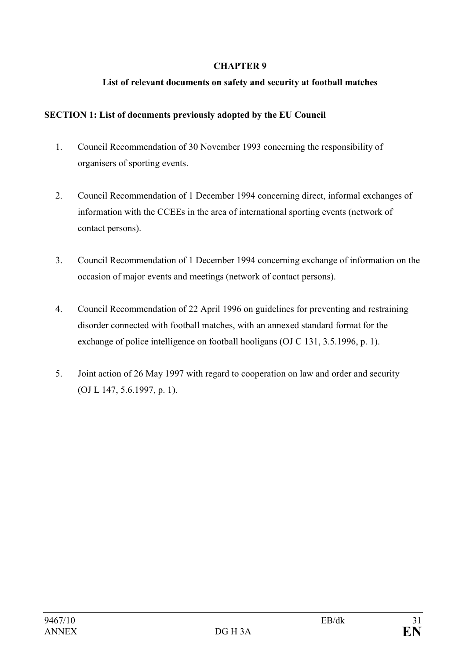#### CHAPTER 9

### List of relevant documents on safety and security at football matches

#### SECTION 1: List of documents previously adopted by the EU Council

- 1. Council Recommendation of 30 November 1993 concerning the responsibility of organisers of sporting events.
- 2. Council Recommendation of 1 December 1994 concerning direct, informal exchanges of information with the CCEEs in the area of international sporting events (network of contact persons).
- 3. Council Recommendation of 1 December 1994 concerning exchange of information on the occasion of major events and meetings (network of contact persons).
- 4. Council Recommendation of 22 April 1996 on guidelines for preventing and restraining disorder connected with football matches, with an annexed standard format for the exchange of police intelligence on football hooligans (OJ C 131, 3.5.1996, p. 1).
- 5. Joint action of 26 May 1997 with regard to cooperation on law and order and security (OJ L 147, 5.6.1997, p. 1).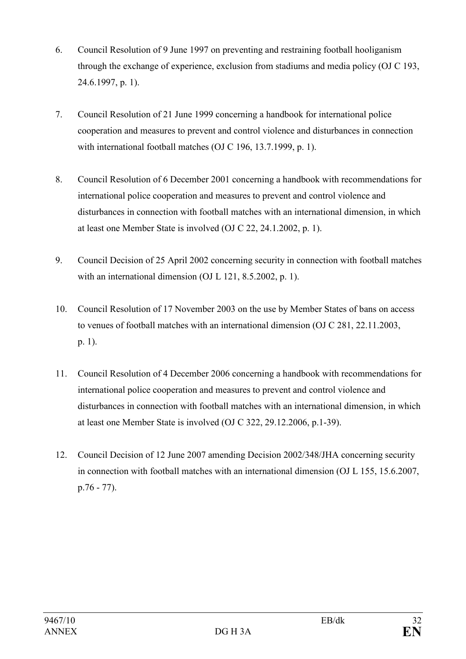- 6. Council Resolution of 9 June 1997 on preventing and restraining football hooliganism through the exchange of experience, exclusion from stadiums and media policy (OJ C 193, 24.6.1997, p. 1).
- 7. Council Resolution of 21 June 1999 concerning a handbook for international police cooperation and measures to prevent and control violence and disturbances in connection with international football matches (OJ C 196, 13.7.1999, p. 1).
- 8. Council Resolution of 6 December 2001 concerning a handbook with recommendations for international police cooperation and measures to prevent and control violence and disturbances in connection with football matches with an international dimension, in which at least one Member State is involved (OJ C 22, 24.1.2002, p. 1).
- 9. Council Decision of 25 April 2002 concerning security in connection with football matches with an international dimension (OJ L 121, 8.5.2002, p. 1).
- 10. Council Resolution of 17 November 2003 on the use by Member States of bans on access to venues of football matches with an international dimension (OJ C 281, 22.11.2003, p. 1).
- 11. Council Resolution of 4 December 2006 concerning a handbook with recommendations for international police cooperation and measures to prevent and control violence and disturbances in connection with football matches with an international dimension, in which at least one Member State is involved (OJ C 322, 29.12.2006, p.1-39).
- 12. Council Decision of 12 June 2007 amending Decision 2002/348/JHA concerning security in connection with football matches with an international dimension (OJ L 155, 15.6.2007, p.76 - 77).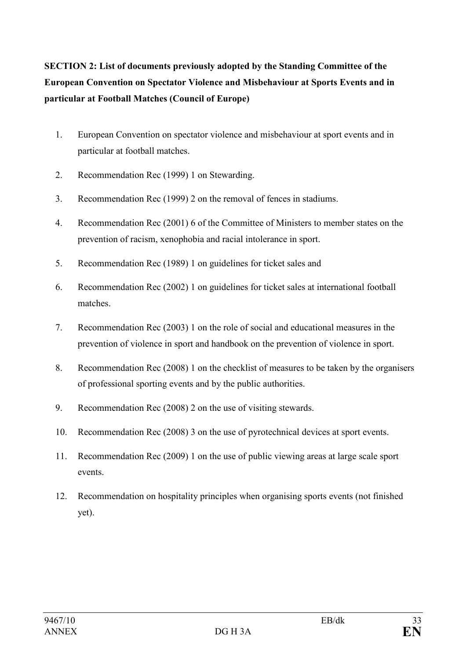SECTION 2: List of documents previously adopted by the Standing Committee of the European Convention on Spectator Violence and Misbehaviour at Sports Events and in particular at Football Matches (Council of Europe)

- 1. European Convention on spectator violence and misbehaviour at sport events and in particular at football matches.
- 2. Recommendation Rec (1999) 1 on Stewarding.
- 3. Recommendation Rec (1999) 2 on the removal of fences in stadiums.
- 4. Recommendation Rec (2001) 6 of the Committee of Ministers to member states on the prevention of racism, xenophobia and racial intolerance in sport.
- 5. Recommendation Rec (1989) 1 on guidelines for ticket sales and
- 6. Recommendation Rec (2002) 1 on guidelines for ticket sales at international football matches.
- 7. Recommendation Rec (2003) 1 on the role of social and educational measures in the prevention of violence in sport and handbook on the prevention of violence in sport.
- 8. Recommendation Rec (2008) 1 on the checklist of measures to be taken by the organisers of professional sporting events and by the public authorities.
- 9. Recommendation Rec (2008) 2 on the use of visiting stewards.
- 10. Recommendation Rec (2008) 3 on the use of pyrotechnical devices at sport events.
- 11. Recommendation Rec (2009) 1 on the use of public viewing areas at large scale sport events.
- 12. Recommendation on hospitality principles when organising sports events (not finished yet).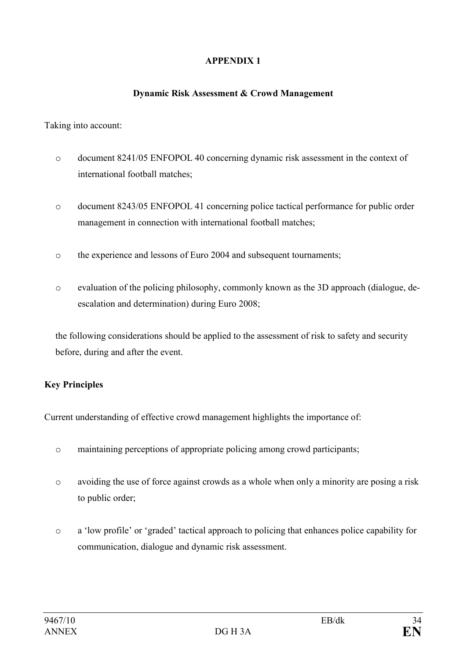# APPENDIX 1

#### Dynamic Risk Assessment & Crowd Management

#### Taking into account:

- o document 8241/05 ENFOPOL 40 concerning dynamic risk assessment in the context of international football matches;
- o document 8243/05 ENFOPOL 41 concerning police tactical performance for public order management in connection with international football matches;
- o the experience and lessons of Euro 2004 and subsequent tournaments;
- o evaluation of the policing philosophy, commonly known as the 3D approach (dialogue, deescalation and determination) during Euro 2008;

the following considerations should be applied to the assessment of risk to safety and security before, during and after the event.

#### Key Principles

Current understanding of effective crowd management highlights the importance of:

- o maintaining perceptions of appropriate policing among crowd participants;
- o avoiding the use of force against crowds as a whole when only a minority are posing a risk to public order;
- o a 'low profile' or 'graded' tactical approach to policing that enhances police capability for communication, dialogue and dynamic risk assessment.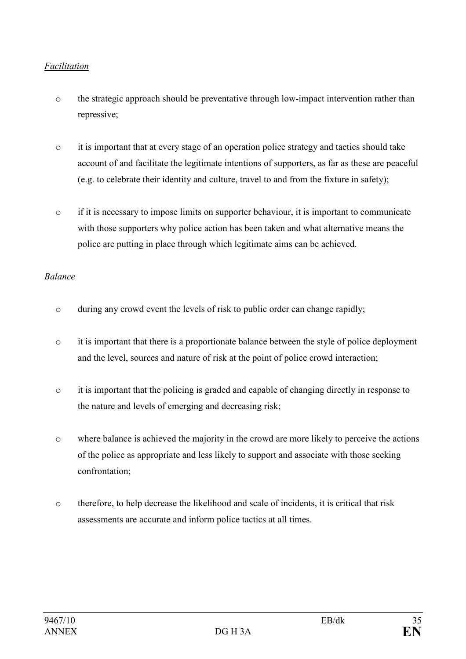## Facilitation

- o the strategic approach should be preventative through low-impact intervention rather than repressive;
- $\circ$  it is important that at every stage of an operation police strategy and tactics should take account of and facilitate the legitimate intentions of supporters, as far as these are peaceful (e.g. to celebrate their identity and culture, travel to and from the fixture in safety);
- o if it is necessary to impose limits on supporter behaviour, it is important to communicate with those supporters why police action has been taken and what alternative means the police are putting in place through which legitimate aims can be achieved.

#### Balance

- o during any crowd event the levels of risk to public order can change rapidly;
- o it is important that there is a proportionate balance between the style of police deployment and the level, sources and nature of risk at the point of police crowd interaction;
- o it is important that the policing is graded and capable of changing directly in response to the nature and levels of emerging and decreasing risk;
- o where balance is achieved the majority in the crowd are more likely to perceive the actions of the police as appropriate and less likely to support and associate with those seeking confrontation;
- o therefore, to help decrease the likelihood and scale of incidents, it is critical that risk assessments are accurate and inform police tactics at all times.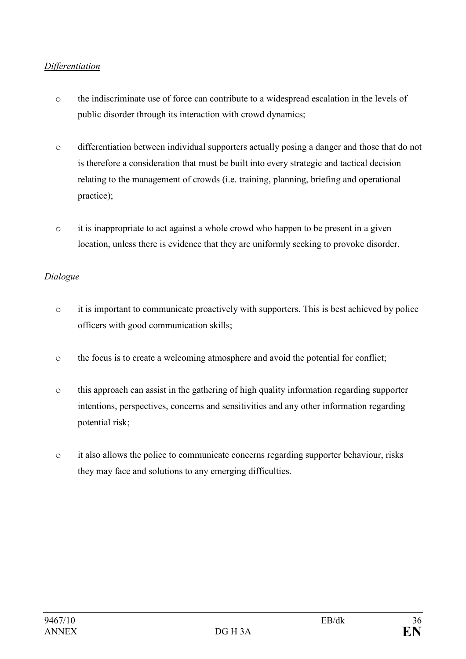## Differentiation

- o the indiscriminate use of force can contribute to a widespread escalation in the levels of public disorder through its interaction with crowd dynamics;
- o differentiation between individual supporters actually posing a danger and those that do not is therefore a consideration that must be built into every strategic and tactical decision relating to the management of crowds (i.e. training, planning, briefing and operational practice);
- o it is inappropriate to act against a whole crowd who happen to be present in a given location, unless there is evidence that they are uniformly seeking to provoke disorder.

#### Dialogue

- o it is important to communicate proactively with supporters. This is best achieved by police officers with good communication skills;
- o the focus is to create a welcoming atmosphere and avoid the potential for conflict;
- o this approach can assist in the gathering of high quality information regarding supporter intentions, perspectives, concerns and sensitivities and any other information regarding potential risk;
- o it also allows the police to communicate concerns regarding supporter behaviour, risks they may face and solutions to any emerging difficulties.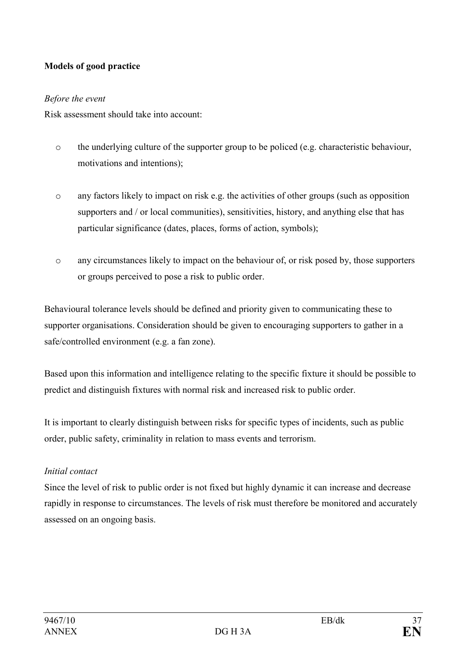# Models of good practice

#### Before the event

Risk assessment should take into account:

- o the underlying culture of the supporter group to be policed (e.g. characteristic behaviour, motivations and intentions);
- o any factors likely to impact on risk e.g. the activities of other groups (such as opposition supporters and / or local communities), sensitivities, history, and anything else that has particular significance (dates, places, forms of action, symbols);
- o any circumstances likely to impact on the behaviour of, or risk posed by, those supporters or groups perceived to pose a risk to public order.

Behavioural tolerance levels should be defined and priority given to communicating these to supporter organisations. Consideration should be given to encouraging supporters to gather in a safe/controlled environment (e.g. a fan zone).

Based upon this information and intelligence relating to the specific fixture it should be possible to predict and distinguish fixtures with normal risk and increased risk to public order.

It is important to clearly distinguish between risks for specific types of incidents, such as public order, public safety, criminality in relation to mass events and terrorism.

#### Initial contact

Since the level of risk to public order is not fixed but highly dynamic it can increase and decrease rapidly in response to circumstances. The levels of risk must therefore be monitored and accurately assessed on an ongoing basis.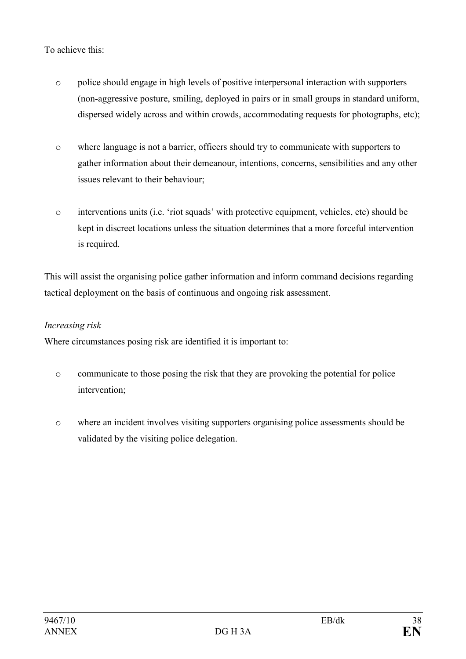## To achieve this:

- o police should engage in high levels of positive interpersonal interaction with supporters (non-aggressive posture, smiling, deployed in pairs or in small groups in standard uniform, dispersed widely across and within crowds, accommodating requests for photographs, etc);
- o where language is not a barrier, officers should try to communicate with supporters to gather information about their demeanour, intentions, concerns, sensibilities and any other issues relevant to their behaviour;
- o interventions units (i.e. 'riot squads' with protective equipment, vehicles, etc) should be kept in discreet locations unless the situation determines that a more forceful intervention is required.

This will assist the organising police gather information and inform command decisions regarding tactical deployment on the basis of continuous and ongoing risk assessment.

#### Increasing risk

Where circumstances posing risk are identified it is important to:

- o communicate to those posing the risk that they are provoking the potential for police intervention;
- o where an incident involves visiting supporters organising police assessments should be validated by the visiting police delegation.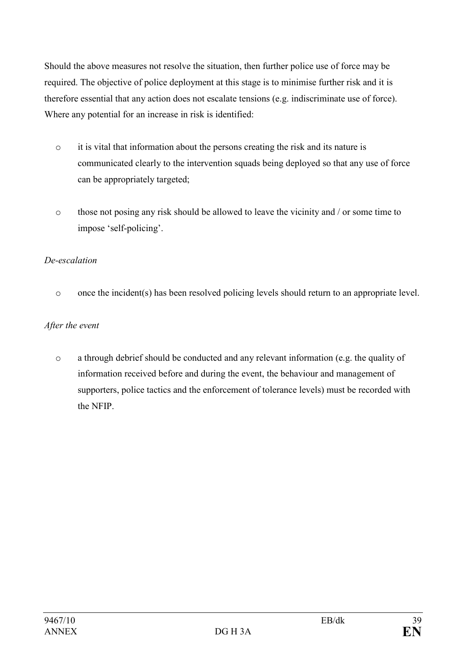Should the above measures not resolve the situation, then further police use of force may be required. The objective of police deployment at this stage is to minimise further risk and it is therefore essential that any action does not escalate tensions (e.g. indiscriminate use of force). Where any potential for an increase in risk is identified:

- o it is vital that information about the persons creating the risk and its nature is communicated clearly to the intervention squads being deployed so that any use of force can be appropriately targeted;
- o those not posing any risk should be allowed to leave the vicinity and / or some time to impose 'self-policing'.

# De-escalation

o once the incident(s) has been resolved policing levels should return to an appropriate level.

### After the event

o a through debrief should be conducted and any relevant information (e.g. the quality of information received before and during the event, the behaviour and management of supporters, police tactics and the enforcement of tolerance levels) must be recorded with the NFIP.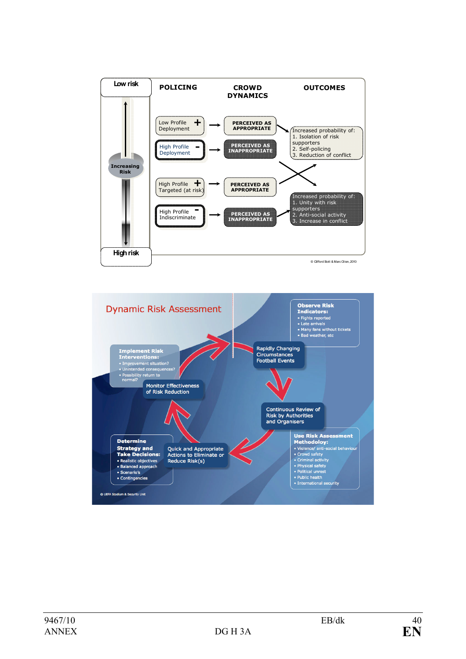

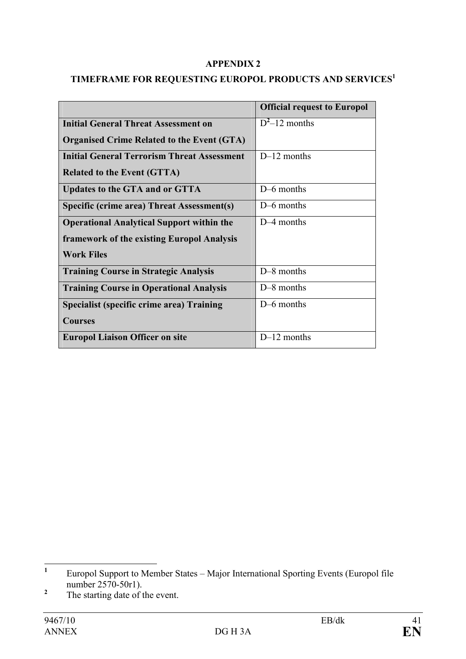#### APPENDIX 2

# TIMEFRAME FOR REQUESTING EUROPOL PRODUCTS AND SERVICES $^1$

|                                                    | <b>Official request to Europol</b> |
|----------------------------------------------------|------------------------------------|
| <b>Initial General Threat Assessment on</b>        | $D^2$ –12 months                   |
| <b>Organised Crime Related to the Event (GTA)</b>  |                                    |
| <b>Initial General Terrorism Threat Assessment</b> | $D-12$ months                      |
| <b>Related to the Event (GTTA)</b>                 |                                    |
| Updates to the GTA and or GTTA                     | D-6 months                         |
| Specific (crime area) Threat Assessment(s)         | D-6 months                         |
| <b>Operational Analytical Support within the</b>   | D-4 months                         |
| framework of the existing Europol Analysis         |                                    |
| <b>Work Files</b>                                  |                                    |
| <b>Training Course in Strategic Analysis</b>       | $D-8$ months                       |
| <b>Training Course in Operational Analysis</b>     | D-8 months                         |
| Specialist (specific crime area) Training          | D-6 months                         |
| <b>Courses</b>                                     |                                    |
| <b>Europol Liaison Officer on site</b>             | $D-12$ months                      |

 $\frac{1}{1}$  Europol Support to Member States – Major International Sporting Events (Europol file number 2570-50r1).

<sup>2</sup> The starting date of the event.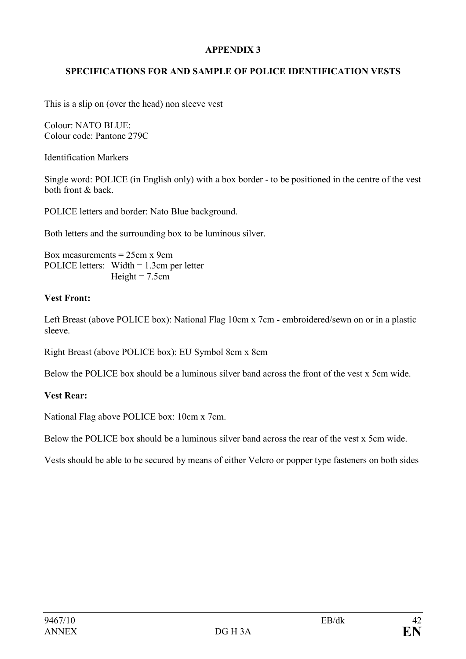## APPENDIX 3

# SPECIFICATIONS FOR AND SAMPLE OF POLICE IDENTIFICATION VESTS

This is a slip on (over the head) non sleeve vest

Colour: NATO BLUE: Colour code: Pantone 279C

Identification Markers

Single word: POLICE (in English only) with a box border - to be positioned in the centre of the vest both front & back.

POLICE letters and border: Nato Blue background.

Both letters and the surrounding box to be luminous silver.

Box measurements  $= 25$ cm x 9cm POLICE letters: Width = 1.3cm per letter Height  $= 7.5$ cm

#### Vest Front:

Left Breast (above POLICE box): National Flag 10cm x 7cm - embroidered/sewn on or in a plastic sleeve.

Right Breast (above POLICE box): EU Symbol 8cm x 8cm

Below the POLICE box should be a luminous silver band across the front of the vest x 5cm wide.

#### Vest Rear:

National Flag above POLICE box: 10cm x 7cm.

Below the POLICE box should be a luminous silver band across the rear of the vest x 5cm wide.

Vests should be able to be secured by means of either Velcro or popper type fasteners on both sides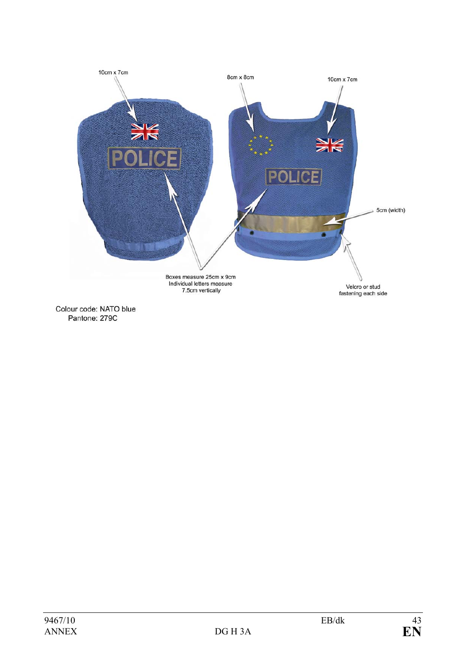

Colour code: NATO blue Pantone: 279C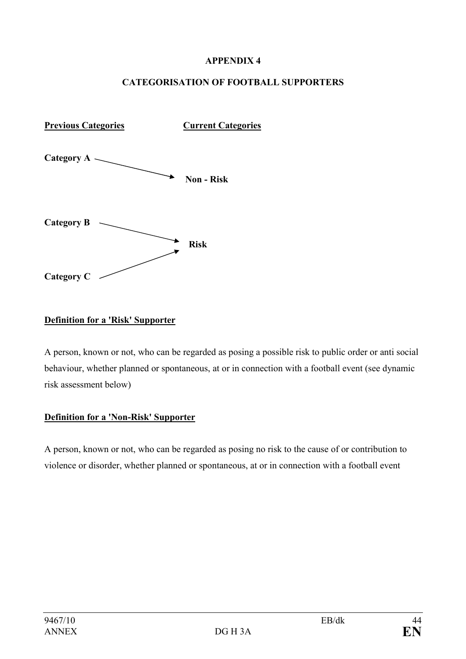#### APPENDIX 4

#### CATEGORISATION OF FOOTBALL SUPPORTERS



#### Definition for a 'Risk' Supporter

A person, known or not, who can be regarded as posing a possible risk to public order or anti social behaviour, whether planned or spontaneous, at or in connection with a football event (see dynamic risk assessment below)

#### Definition for a 'Non-Risk' Supporter

A person, known or not, who can be regarded as posing no risk to the cause of or contribution to violence or disorder, whether planned or spontaneous, at or in connection with a football event